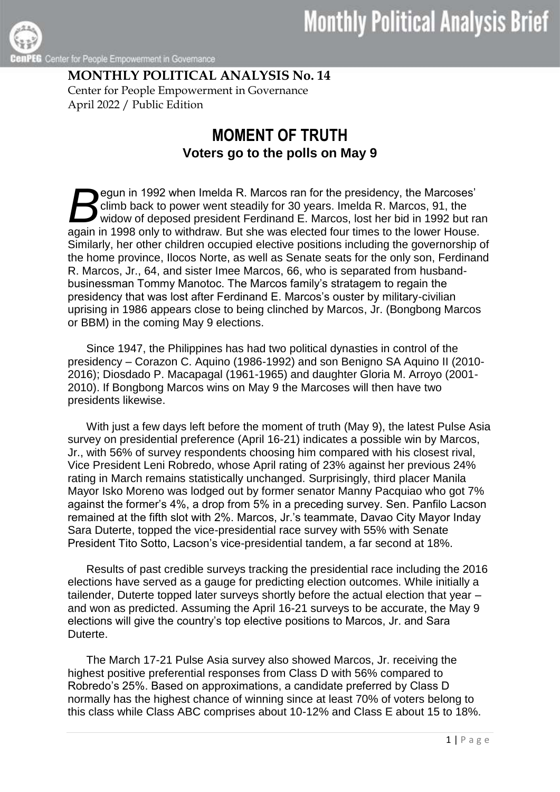Center for People Empowerment in Governance

## **MONTHLY POLITICAL ANALYSIS No. 14** Center for People Empowerment in Governance April 2022 / Public Edition

## **MOMENT OF TRUTH Voters go to the polls on May 9**

egun in 1992 when Imelda R. Marcos ran for the presidency, the Marcoses' climb back to power went steadily for 30 years. Imelda R. Marcos, 91, the widow of deposed president Ferdinand E. Marcos, lost her bid in 1992 but ran egun in 1992 when Imelda R. Marcos ran for the presidency, the Marcoses'<br>climb back to power went steadily for 30 years. Imelda R. Marcos, 91, the<br>widow of deposed president Ferdinand E. Marcos, lost her bid in 1992 but ra Similarly, her other children occupied elective positions including the governorship of the home province, Ilocos Norte, as well as Senate seats for the only son, Ferdinand R. Marcos, Jr., 64, and sister Imee Marcos, 66, who is separated from husbandbusinessman Tommy Manotoc. The Marcos family's stratagem to regain the presidency that was lost after Ferdinand E. Marcos's ouster by military-civilian uprising in 1986 appears close to being clinched by Marcos, Jr. (Bongbong Marcos or BBM) in the coming May 9 elections.

Since 1947, the Philippines has had two political dynasties in control of the presidency – Corazon C. Aquino (1986-1992) and son Benigno SA Aquino II (2010- 2016); Diosdado P. Macapagal (1961-1965) and daughter Gloria M. Arroyo (2001- 2010). If Bongbong Marcos wins on May 9 the Marcoses will then have two presidents likewise.

With just a few days left before the moment of truth (May 9), the latest Pulse Asia survey on presidential preference (April 16-21) indicates a possible win by Marcos, Jr., with 56% of survey respondents choosing him compared with his closest rival, Vice President Leni Robredo, whose April rating of 23% against her previous 24% rating in March remains statistically unchanged. Surprisingly, third placer Manila Mayor Isko Moreno was lodged out by former senator Manny Pacquiao who got 7% against the former's 4%, a drop from 5% in a preceding survey. Sen. Panfilo Lacson remained at the fifth slot with 2%. Marcos, Jr.'s teammate, Davao City Mayor Inday Sara Duterte, topped the vice-presidential race survey with 55% with Senate President Tito Sotto, Lacson's vice-presidential tandem, a far second at 18%.

Results of past credible surveys tracking the presidential race including the 2016 elections have served as a gauge for predicting election outcomes. While initially a tailender, Duterte topped later surveys shortly before the actual election that year and won as predicted. Assuming the April 16-21 surveys to be accurate, the May 9 elections will give the country's top elective positions to Marcos, Jr. and Sara Duterte.

The March 17-21 Pulse Asia survey also showed Marcos, Jr. receiving the highest positive preferential responses from Class D with 56% compared to Robredo's 25%. Based on approximations, a candidate preferred by Class D normally has the highest chance of winning since at least 70% of voters belong to this class while Class ABC comprises about 10-12% and Class E about 15 to 18%.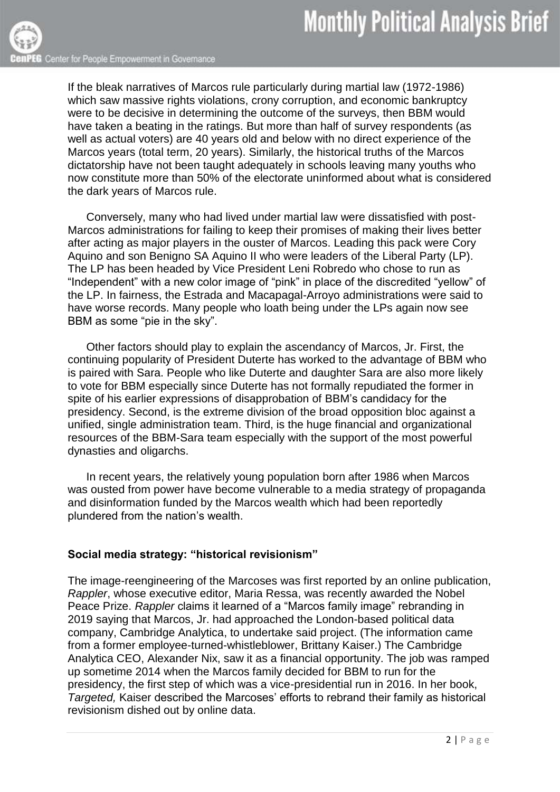If the bleak narratives of Marcos rule particularly during martial law (1972-1986) which saw massive rights violations, crony corruption, and economic bankruptcy were to be decisive in determining the outcome of the surveys, then BBM would have taken a beating in the ratings. But more than half of survey respondents (as well as actual voters) are 40 years old and below with no direct experience of the Marcos years (total term, 20 years). Similarly, the historical truths of the Marcos dictatorship have not been taught adequately in schools leaving many youths who now constitute more than 50% of the electorate uninformed about what is considered the dark years of Marcos rule.

Conversely, many who had lived under martial law were dissatisfied with post-Marcos administrations for failing to keep their promises of making their lives better after acting as major players in the ouster of Marcos. Leading this pack were Cory Aquino and son Benigno SA Aquino II who were leaders of the Liberal Party (LP). The LP has been headed by Vice President Leni Robredo who chose to run as "Independent" with a new color image of "pink" in place of the discredited "yellow" of the LP. In fairness, the Estrada and Macapagal-Arroyo administrations were said to have worse records. Many people who loath being under the LPs again now see BBM as some "pie in the sky".

Other factors should play to explain the ascendancy of Marcos, Jr. First, the continuing popularity of President Duterte has worked to the advantage of BBM who is paired with Sara. People who like Duterte and daughter Sara are also more likely to vote for BBM especially since Duterte has not formally repudiated the former in spite of his earlier expressions of disapprobation of BBM's candidacy for the presidency. Second, is the extreme division of the broad opposition bloc against a unified, single administration team. Third, is the huge financial and organizational resources of the BBM-Sara team especially with the support of the most powerful dynasties and oligarchs.

In recent years, the relatively young population born after 1986 when Marcos was ousted from power have become vulnerable to a media strategy of propaganda and disinformation funded by the Marcos wealth which had been reportedly plundered from the nation's wealth.

## **Social media strategy: "historical revisionism"**

The image-reengineering of the Marcoses was first reported by an online publication, *Rappler*, whose executive editor, Maria Ressa, was recently awarded the Nobel Peace Prize. *Rappler* claims it learned of a "Marcos family image" rebranding in 2019 saying that Marcos, Jr. had approached the London-based political data company, Cambridge Analytica, to undertake said project. (The information came from a former employee-turned-whistleblower, Brittany Kaiser.) The Cambridge Analytica CEO, Alexander Nix, saw it as a financial opportunity. The job was ramped up sometime 2014 when the Marcos family decided for BBM to run for the presidency, the first step of which was a vice-presidential run in 2016. In her book, *Targeted,* Kaiser described the Marcoses' efforts to rebrand their family as historical revisionism dished out by online data.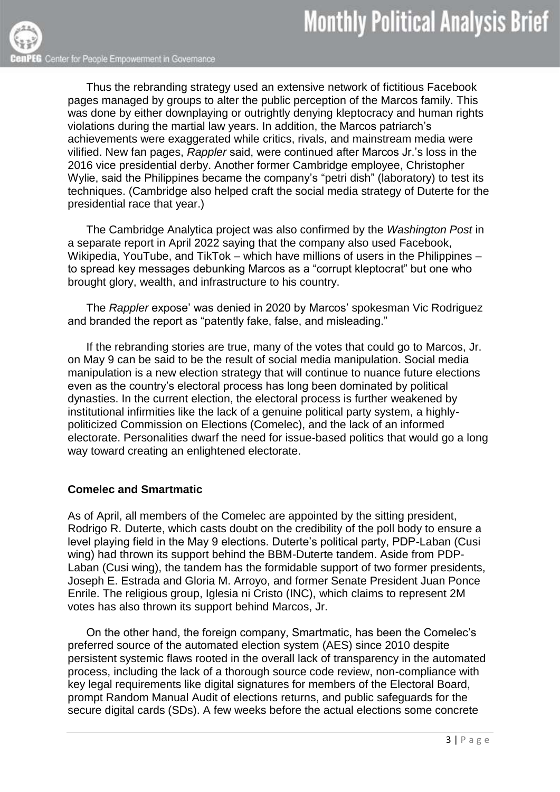Thus the rebranding strategy used an extensive network of fictitious Facebook pages managed by groups to alter the public perception of the Marcos family. This was done by either downplaying or outrightly denying kleptocracy and human rights violations during the martial law years. In addition, the Marcos patriarch's achievements were exaggerated while critics, rivals, and mainstream media were vilified. New fan pages, *Rappler* said, were continued after Marcos Jr.'s loss in the 2016 vice presidential derby. Another former Cambridge employee, Christopher Wylie, said the Philippines became the company's ["petri dish"](https://www.rappler.com/technology/social-media/239606-cambridge-analytica-philippines-online-propaganda-christopher-wylie) (laboratory) to test its techniques. (Cambridge also helped craft the social media strategy of Duterte for the presidential race that year.)

The Cambridge Analytica project was also confirmed by the *Washington Post* in a separate report in April 2022 saying that the company also used Facebook, Wikipedia, YouTube, and TikTok – which have millions of users in the Philippines – to spread key messages debunking Marcos as a "corrupt kleptocrat" but one who brought glory, wealth, and infrastructure to his country.

The *Rappler* expose' was denied in 2020 by Marcos' spokesman Vic Rodriguez and branded the report as "patently fake, false, and misleading."

If the rebranding stories are true, many of the votes that could go to Marcos, Jr. on May 9 can be said to be the result of social media manipulation. Social media manipulation is a new election strategy that will continue to nuance future elections even as the country's electoral process has long been dominated by political dynasties. In the current election, the electoral process is further weakened by institutional infirmities like the lack of a genuine political party system, a highlypoliticized Commission on Elections (Comelec), and the lack of an informed electorate. Personalities dwarf the need for issue-based politics that would go a long way toward creating an enlightened electorate.

## **Comelec and Smartmatic**

As of April, all members of the Comelec are appointed by the sitting president, Rodrigo R. Duterte, which casts doubt on the credibility of the poll body to ensure a level playing field in the May 9 elections. Duterte's political party, PDP-Laban (Cusi wing) had thrown its support behind the BBM-Duterte tandem. Aside from PDP-Laban (Cusi wing), the tandem has the formidable support of two former presidents, Joseph E. Estrada and Gloria M. Arroyo, and former Senate President Juan Ponce Enrile. The religious group, Iglesia ni Cristo (INC), which claims to represent 2M votes has also thrown its support behind Marcos, Jr.

On the other hand, the foreign company, Smartmatic, has been the Comelec's preferred source of the automated election system (AES) since 2010 despite persistent systemic flaws rooted in the overall lack of transparency in the automated process, including the lack of a thorough source code review, non-compliance with key legal requirements like digital signatures for members of the Electoral Board, prompt Random Manual Audit of elections returns, and public safeguards for the secure digital cards (SDs). A few weeks before the actual elections some concrete